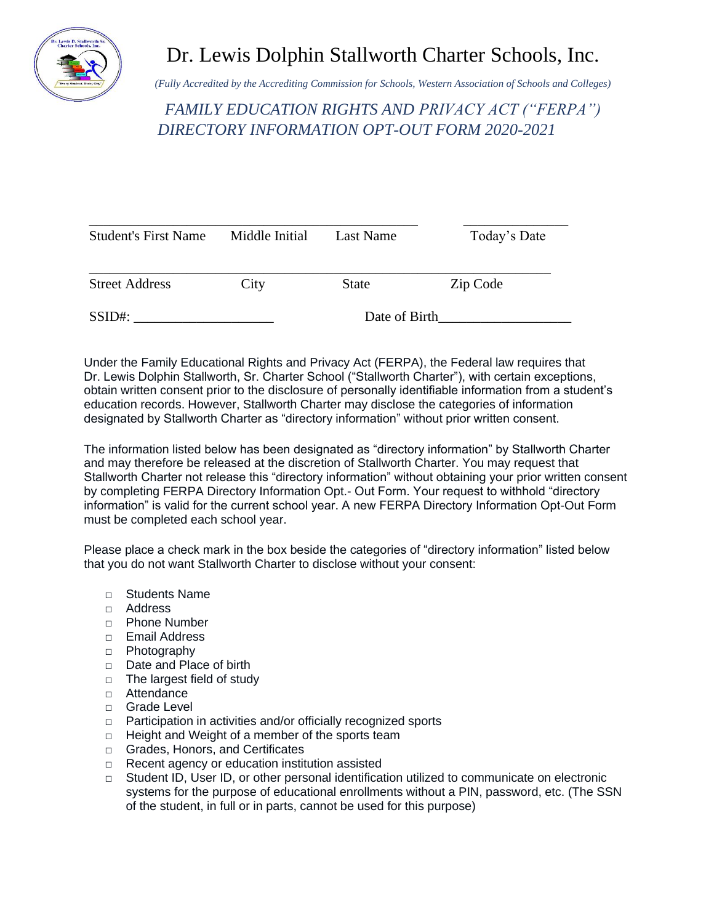

## Dr. Lewis Dolphin Stallworth Charter Schools, Inc.

*(Fully Accredited by the Accrediting Commission for Schools, Western Association of Schools and Colleges)*

*FAMILY EDUCATION RIGHTS AND PRIVACY ACT ("FERPA") DIRECTORY INFORMATION OPT-OUT FORM 2020-2021*

| <b>Student's First Name</b> | Middle Initial | Last Name    | Today's Date |
|-----------------------------|----------------|--------------|--------------|
| <b>Street Address</b>       | City           | <b>State</b> | Zip Code     |
| $SSID$ #:                   | Date of Birth  |              |              |

Under the Family Educational Rights and Privacy Act (FERPA), the Federal law requires that Dr. Lewis Dolphin Stallworth, Sr. Charter School ("Stallworth Charter"), with certain exceptions, obtain written consent prior to the disclosure of personally identifiable information from a student's education records. However, Stallworth Charter may disclose the categories of information designated by Stallworth Charter as "directory information" without prior written consent.

The information listed below has been designated as "directory information" by Stallworth Charter and may therefore be released at the discretion of Stallworth Charter. You may request that Stallworth Charter not release this "directory information" without obtaining your prior written consent by completing FERPA Directory Information Opt.- Out Form. Your request to withhold "directory information" is valid for the current school year. A new FERPA Directory Information Opt-Out Form must be completed each school year.

Please place a check mark in the box beside the categories of "directory information" listed below that you do not want Stallworth Charter to disclose without your consent:

- □ Students Name
- □ Address
- □ Phone Number
- □ Email Address
- □ Photography
- □ Date and Place of birth
- □ The largest field of study
- □ Attendance
- □ Grade Level
- □ Participation in activities and/or officially recognized sports
- □ Height and Weight of a member of the sports team
- □ Grades, Honors, and Certificates
- □ Recent agency or education institution assisted
- $\Box$  Student ID, User ID, or other personal identification utilized to communicate on electronic systems for the purpose of educational enrollments without a PIN, password, etc. (The SSN of the student, in full or in parts, cannot be used for this purpose)